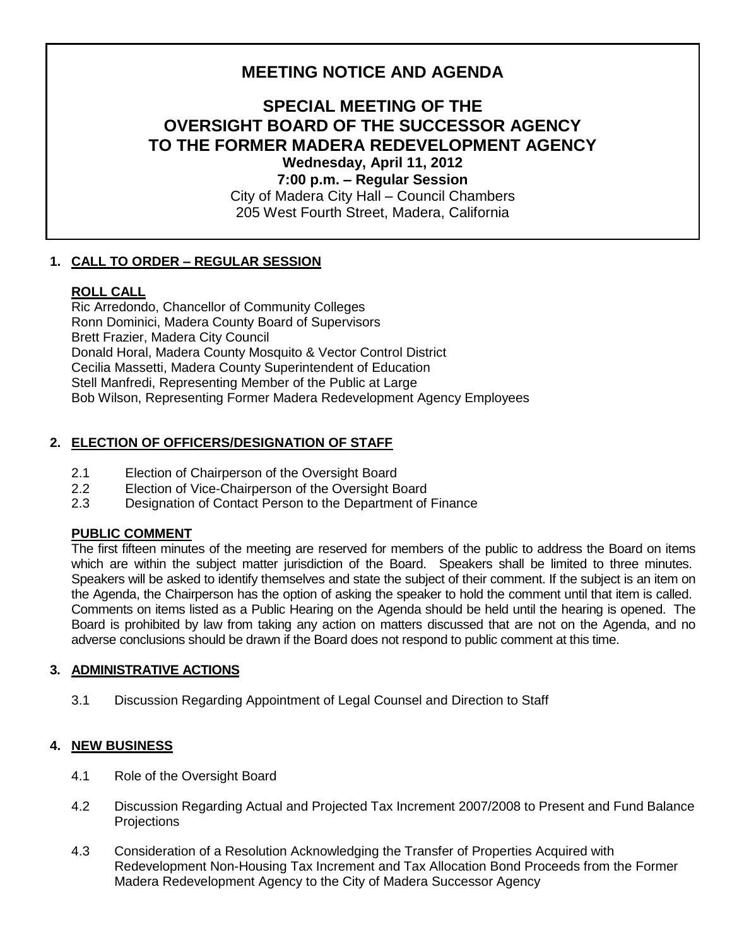# **MEETING NOTICE AND AGENDA**

# **SPECIAL MEETING OF THE OVERSIGHT BOARD OF THE SUCCESSOR AGENCY TO THE FORMER MADERA REDEVELOPMENT AGENCY Wednesday, April 11, 2012**

**7:00 p.m. – Regular Session** City of Madera City Hall – Council Chambers 205 West Fourth Street, Madera, California

# **1. CALL TO ORDER – REGULAR SESSION**

## **ROLL CALL**

Ric Arredondo, Chancellor of Community Colleges Ronn Dominici, Madera County Board of Supervisors Brett Frazier, Madera City Council Donald Horal, Madera County Mosquito & Vector Control District Cecilia Massetti, Madera County Superintendent of Education Stell Manfredi, Representing Member of the Public at Large Bob Wilson, Representing Former Madera Redevelopment Agency Employees

## **2. ELECTION OF OFFICERS/DESIGNATION OF STAFF**

- 2.1 Election of Chairperson of the Oversight Board
- 2.2 Election of Vice-Chairperson of the Oversight Board
- 2.3 Designation of Contact Person to the Department of Finance

#### **PUBLIC COMMENT**

The first fifteen minutes of the meeting are reserved for members of the public to address the Board on items which are within the subject matter jurisdiction of the Board. Speakers shall be limited to three minutes. Speakers will be asked to identify themselves and state the subject of their comment. If the subject is an item on the Agenda, the Chairperson has the option of asking the speaker to hold the comment until that item is called. Comments on items listed as a Public Hearing on the Agenda should be held until the hearing is opened. The Board is prohibited by law from taking any action on matters discussed that are not on the Agenda, and no adverse conclusions should be drawn if the Board does not respond to public comment at this time.

#### **3. ADMINISTRATIVE ACTIONS**

3.1 Discussion Regarding Appointment of Legal Counsel and Direction to Staff

#### **4. NEW BUSINESS**

- 4.1 Role of the Oversight Board
- 4.2 Discussion Regarding Actual and Projected Tax Increment 2007/2008 to Present and Fund Balance **Projections**
- 4.3 Consideration of a Resolution Acknowledging the Transfer of Properties Acquired with Redevelopment Non-Housing Tax Increment and Tax Allocation Bond Proceeds from the Former Madera Redevelopment Agency to the City of Madera Successor Agency